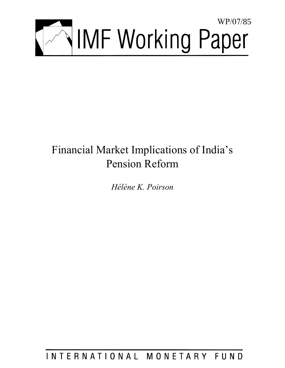

# Financial Market Implications of India's Pension Reform

*Hélène K. Poirson* 

INTERNATIONAL MONETARY FUND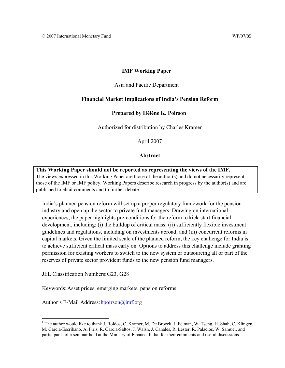## **IMF Working Paper**

#### Asia and Pacific Department

#### **Financial Market Implications of India's Pension Reform**

#### **Prepared by Hélène K. Poirson**<sup>1</sup>

Authorized for distribution by Charles Kramer

April 2007

#### **Abstract**

**This Working Paper should not be reported as representing the views of the IMF.** The views expressed in this Working Paper are those of the author(s) and do not necessarily represent those of the IMF or IMF policy. Working Papers describe research in progress by the author(s) and are published to elicit comments and to further debate.

India's planned pension reform will set up a proper regulatory framework for the pension industry and open up the sector to private fund managers. Drawing on international experiences, the paper highlights pre-conditions for the reform to kick-start financial development, including: (i) the buildup of critical mass; (ii) sufficiently flexible investment guidelines and regulations, including on investments abroad; and (iii) concurrent reforms in capital markets. Given the limited scale of the planned reform, the key challenge for India is to achieve sufficient critical mass early on. Options to address this challenge include granting permission for existing workers to switch to the new system or outsourcing all or part of the reserves of private sector provident funds to the new pension fund managers.

JEL Classification Numbers: G23, G28

 $\overline{a}$ 

Keywords: Asset prices, emerging markets, pension reforms

Author's E-Mail Address: hpoirson@imf.org

<sup>&</sup>lt;sup>1</sup> The author would like to thank J. Roldos, C. Kramer, M. De Broeck, J. Felman, W. Tseng, H. Shah, C. Klingen, M. Garcia-Escribano, A. Piris, R. Garcia-Saltos, J. Walsh, J. Canales, R. Lester, R. Palacios, W. Samuel, and participants of a seminar held at the Ministry of Finance, India, for their comments and useful discussions.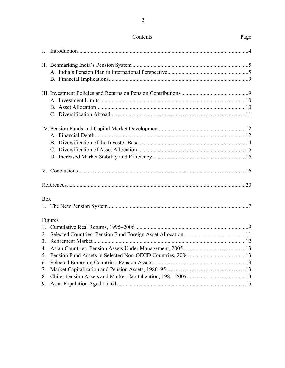|                | Contents | Page |
|----------------|----------|------|
| $\mathbf{I}$ . |          |      |
|                |          |      |
|                |          |      |
|                |          |      |
|                |          |      |
|                |          |      |
|                |          |      |
|                |          |      |
|                |          |      |
|                |          |      |
|                |          |      |
|                |          |      |
|                |          |      |
|                |          |      |
|                |          |      |
| <b>Box</b>     |          |      |
|                |          |      |
|                | Figures  |      |
|                |          |      |
|                |          |      |
|                |          |      |
| 4.             |          |      |
| 5.             |          |      |
| 6.             |          |      |
| 7.             |          |      |
| 8.             |          |      |
| 9.             |          |      |

 $\overline{2}$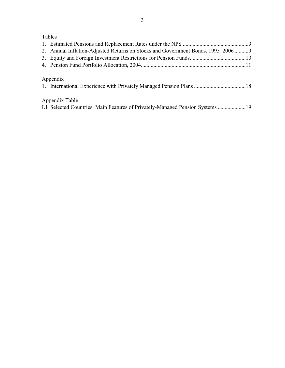## Tables

| 2. Annual Inflation-Adjusted Returns on Stocks and Government Bonds, 1995–20069                 |  |
|-------------------------------------------------------------------------------------------------|--|
|                                                                                                 |  |
|                                                                                                 |  |
| Appendix                                                                                        |  |
| Appendix Table<br>1.1 Selected Countries: Main Features of Privately-Managed Pension Systems 19 |  |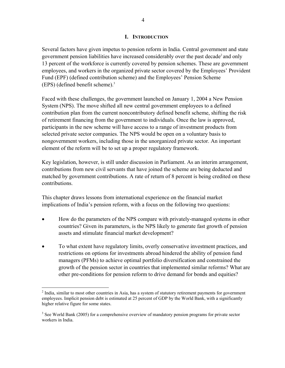## **I. INTRODUCTION**

Several factors have given impetus to pension reform in India. Central government and state government pension liabilities have increased considerably over the past decade<sup>2</sup> and only 13 percent of the workforce is currently covered by pension schemes. These are government employees, and workers in the organized private sector covered by the Employees' Provident Fund (EPF) (defined contribution scheme) and the Employees' Pension Scheme (EPS) (defined benefit scheme).3

Faced with these challenges, the government launched on January 1, 2004 a New Pension System (NPS). The move shifted all new central government employees to a defined contribution plan from the current noncontributory defined benefit scheme, shifting the risk of retirement financing from the government to individuals. Once the law is approved, participants in the new scheme will have access to a range of investment products from selected private sector companies. The NPS would be open on a voluntary basis to nongovernment workers, including those in the unorganized private sector. An important element of the reform will be to set up a proper regulatory framework.

Key legislation, however, is still under discussion in Parliament. As an interim arrangement, contributions from new civil servants that have joined the scheme are being deducted and matched by government contributions. A rate of return of 8 percent is being credited on these contributions.

This chapter draws lessons from international experience on the financial market implications of India's pension reform, with a focus on the following two questions:

- How do the parameters of the NPS compare with privately-managed systems in other countries? Given its parameters, is the NPS likely to generate fast growth of pension assets and stimulate financial market development?
- To what extent have regulatory limits, overly conservative investment practices, and restrictions on options for investments abroad hindered the ability of pension fund managers (PFMs) to achieve optimal portfolio diversification and constrained the growth of the pension sector in countries that implemented similar reforms? What are other pre-conditions for pension reform to drive demand for bonds and equities?

1

 $2$  India, similar to most other countries in Asia, has a system of statutory retirement payments for government employees. Implicit pension debt is estimated at 25 percent of GDP by the World Bank, with a significantly higher relative figure for some states.

 $3$  See World Bank (2005) for a comprehensive overview of mandatory pension programs for private sector workers in India.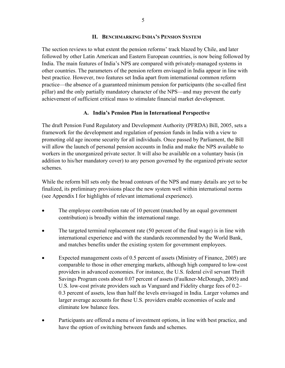#### **II. BENCHMARKING INDIA'S PENSION SYSTEM**

The section reviews to what extent the pension reforms' track blazed by Chile, and later followed by other Latin American and Eastern European countries, is now being followed by India. The main features of India's NPS are compared with privately-managed systems in other countries. The parameters of the pension reform envisaged in India appear in line with best practice. However, two features set India apart from international common reform practice—the absence of a guaranteed minimum pension for participants (the so-called first pillar) and the only partially mandatory character of the NPS—and may prevent the early achievement of sufficient critical mass to stimulate financial market development.

## **A. India's Pension Plan in International Perspective**

The draft Pension Fund Regulatory and Development Authority (PFRDA) Bill, 2005, sets a framework for the development and regulation of pension funds in India with a view to promoting old age income security for all individuals. Once passed by Parliament, the Bill will allow the launch of personal pension accounts in India and make the NPS available to workers in the unorganized private sector. It will also be available on a voluntary basis (in addition to his/her mandatory cover) to any person governed by the organized private sector schemes.

While the reform bill sets only the broad contours of the NPS and many details are yet to be finalized, its preliminary provisions place the new system well within international norms (see Appendix I for highlights of relevant international experience).

- The employee contribution rate of 10 percent (matched by an equal government contribution) is broadly within the international range.
- The targeted terminal replacement rate (50 percent of the final wage) is in line with international experience and with the standards recommended by the World Bank, and matches benefits under the existing system for government employees.
- Expected management costs of 0.5 percent of assets (Ministry of Finance, 2005) are comparable to those in other emerging markets, although high compared to low-cost providers in advanced economies. For instance, the U.S. federal civil servant Thrift Savings Program costs about 0.07 percent of assets (Faulkner-McDonagh, 2005) and U.S. low-cost private providers such as Vanguard and Fidelity charge fees of 0.2– 0.3 percent of assets, less than half the levels envisaged in India. Larger volumes and larger average accounts for these U.S. providers enable economies of scale and eliminate low balance fees.
- Participants are offered a menu of investment options, in line with best practice, and have the option of switching between funds and schemes.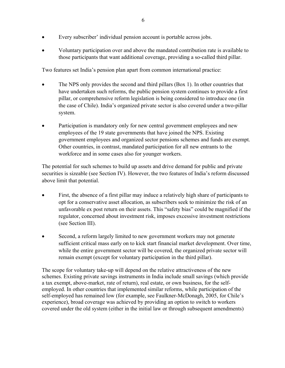- Every subscriber' individual pension account is portable across jobs.
- Voluntary participation over and above the mandated contribution rate is available to those participants that want additional coverage, providing a so-called third pillar.

Two features set India's pension plan apart from common international practice:

- The NPS only provides the second and third pillars (Box 1). In other countries that have undertaken such reforms, the public pension system continues to provide a first pillar, or comprehensive reform legislation is being considered to introduce one (in the case of Chile). India's organized private sector is also covered under a two-pillar system.
- Participation is mandatory only for new central government employees and new employees of the 19 state governments that have joined the NPS. Existing government employees and organized sector pensions schemes and funds are exempt. Other countries, in contrast, mandated participation for all new entrants to the workforce and in some cases also for younger workers.

The potential for such schemes to build up assets and drive demand for public and private securities is sizeable (see Section IV). However, the two features of India's reform discussed above limit that potential.

- First, the absence of a first pillar may induce a relatively high share of participants to opt for a conservative asset allocation, as subscribers seek to minimize the risk of an unfavorable ex post return on their assets. This "safety bias" could be magnified if the regulator, concerned about investment risk, imposes excessive investment restrictions (see Section III).
- Second, a reform largely limited to new government workers may not generate sufficient critical mass early on to kick start financial market development. Over time, while the entire government sector will be covered, the organized private sector will remain exempt (except for voluntary participation in the third pillar).

The scope for voluntary take-up will depend on the relative attractiveness of the new schemes. Existing private savings instruments in India include small savings (which provide a tax exempt, above-market, rate of return), real estate, or own business, for the selfemployed. In other countries that implemented similar reforms, while participation of the self-employed has remained low (for example, see Faulkner-McDonagh, 2005, for Chile's experience), broad coverage was achieved by providing an option to switch to workers covered under the old system (either in the initial law or through subsequent amendments)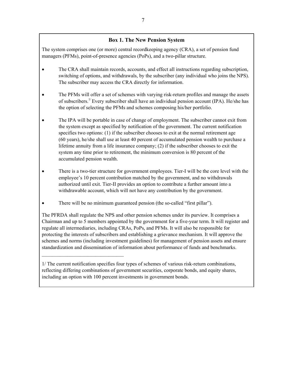## **Box 1. The New Pension System**

The system comprises one (or more) central recordkeeping agency (CRA), a set of pension fund managers (PFMs), point-of-presence agencies (PoPs), and a two-pillar structure.

- The CRA shall maintain records, accounts, and effect all instructions regarding subscription, switching of options, and withdrawals, by the subscriber (any individual who joins the NPS). The subscriber may access the CRA directly for information.
- The PFMs will offer a set of schemes with varying risk-return profiles and manage the assets of subscribers.<sup>1/</sup> Every subscriber shall have an individual pension account (IPA). He/she has the option of selecting the PFMs and schemes composing his/her portfolio.
- The IPA will be portable in case of change of employment. The subscriber cannot exit from the system except as specified by notification of the government. The current notification specifies two options: (1) if the subscriber chooses to exit at the normal retirement age (60 years), he/she shall use at least 40 percent of accumulated pension wealth to purchase a lifetime annuity from a life insurance company; (2) if the subscriber chooses to exit the system any time prior to retirement, the minimum conversion is 80 percent of the accumulated pension wealth.
- There is a two-tier structure for government employees. Tier-I will be the core level with the employee's 10 percent contribution matched by the government, and no withdrawals authorized until exit. Tier-II provides an option to contribute a further amount into a withdrawable account, which will not have any contribution by the government.
- There will be no minimum guaranteed pension (the so-called "first pillar").

 $\mathcal{L}_\text{max}$ 

The PFRDA shall regulate the NPS and other pension schemes under its purview. It comprises a Chairman and up to 5 members appointed by the government for a five-year term. It will register and regulate all intermediaries, including CRAs, PoPs, and PFMs. It will also be responsible for protecting the interests of subscribers and establishing a grievance mechanism. It will approve the schemes and norms (including investment guidelines) for management of pension assets and ensure standardization and dissemination of information about performance of funds and benchmarks.

1/ The current notification specifies four types of schemes of various risk-return combinations, reflecting differing combinations of government securities, corporate bonds, and equity shares, including an option with 100 percent investments in government bonds.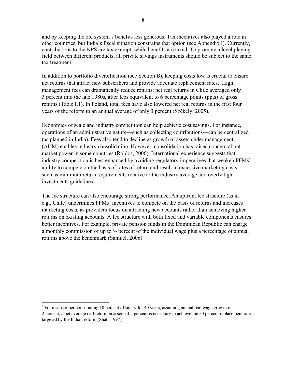and by keeping the old system's benefits less generous. Tax incentives also played a role in other countries, but India's fiscal situation constrains that option (see Appendix I). Currently, contributions to the NPS are tax exempt, while benefits are taxed. To promote a level playing field between different products, all private savings instruments should be subject to the same tax treatment.

In addition to portfolio diversification (see Section B), keeping costs low is crucial to ensure net returns that attract new subscribers and provide adequate replacement rates.<sup>4</sup> High management fees can dramatically reduce returns: net real returns in Chile averaged only 3 percent into the late 1980s, after fees equivalent to 6 percentage points (ppts) of gross returns (Table I.1). In Poland, total fees have also lowered net real returns in the first four years of the reform to an annual average of only 3 percent (Székely, 2005).

Economies of scale and industry competition can help achieve cost savings. For instance, operations of an administrative nature—such as collecting contributions—can be centralized (as planned in India). Fees also tend to decline as growth of assets under management (AUM) enables industry consolidation. However, consolidation has raised concern about market power in some countries (Roldos, 2006). International experience suggests that industry competition is best enhanced by avoiding regulatory imperatives that weaken PFMs' ability to compete on the basis of rates of return and result in excessive marketing costs such as minimum return requirements relative to the industry average and overly tight investments guidelines.

The fee structure can also encourage strong performance. An upfront fee structure (as in e.g., Chile) undermines PFMs' incentives to compete on the basis of returns and increases marketing costs, as providers focus on attracting new accounts rather than achieving higher returns on existing accounts. A fee structure with both fixed and variable components ensures better incentives. For example, private pension funds in the Dominican Republic can charge a monthly commission of up to ½ percent of the individual wage plus a percentage of annual returns above the benchmark (Samuel, 2006).

 4 For a subscriber contributing 10 percent of salary for 40 years, assuming annual real wage growth of 2 percent, a net average real return on assets of 5 percent is necessary to achieve the 50 percent replacement rate targeted by the Indian reform (Shah, 1997).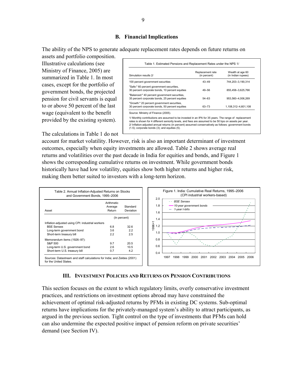## **B. Financial Implications**

The ability of the NPS to generate adequate replacement rates depends on future returns on

assets and portfolio composition. Illustrative calculations (see Ministry of Finance, 2005) are summarized in Table 1. In most cases, except for the portfolio of government bonds, the projected pension for civil servants is equal to or above 50 percent of the last wage (equivalent to the benefit provided by the existing system).

| Simulation results 2/                                                                            | Replacement rate<br>(in percent) | Wealth at age 60<br>(in Indian rupees) |
|--------------------------------------------------------------------------------------------------|----------------------------------|----------------------------------------|
| 100 percent government securities                                                                | $43 - 49$                        | 744.203-3.190.314                      |
| "Safe:" 60 percent government securities,<br>30 percent corporate bonds, 10 percent equities     | $49 - 56$                        | 855,458-3,625,766                      |
| "Balanced:" 40 percent government securities,<br>35 percent corporate bonds, 25 percent equities | $54 - 63$                        | 953.560-4.006.269                      |
| "Growth:" 20 percent government securities,<br>30 percent corporate bonds, 50 percent equities   | 63-73                            | 1.108.312-4.601.108                    |

2/ Inflation-adjusted annual returns (in percent) assumed conservatively as follows: government bonds (1.5); corporate bonds (3); and equities (5). tes is shown for 4 different seniority levels, and fees are assumed to be 50 bps on assets per year.

The calculations in Table 1 do not

account for market volatility. However, risk is also an important determinant of investment outcomes, especially when equity investments are allowed. Table 2 shows average real returns and volatilities over the past decade in India for equities and bonds, and Figure 1 shows the corresponding cumulative returns on investment. While government bonds historically have had low volatility, equities show both higher returns and higher risk, making them better suited to investors with a long-term horizon.



#### **III. INVESTMENT POLICIES AND RETURNS ON PENSION CONTRIBUTIONS**

This section focuses on the extent to which regulatory limits, overly conservative investment practices, and restrictions on investment options abroad may have constrained the achievement of optimal risk-adjusted returns by PFMs in existing DC systems. Sub-optimal returns have implications for the privately-managed system's ability to attract participants, as argued in the previous section. Tight control on the type of investments that PFMs can hold can also undermine the expected positive impact of pension reform on private securities' demand (see Section IV).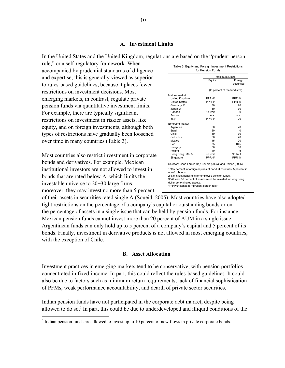#### **A. Investment Limits**

In the United States and the United Kingdom, regulations are based on the "prudent person

rule," or a self-regulatory framework. When accompanied by prudential standards of diligence and expertise, this is generally viewed as superior to rules-based guidelines, because it places fewer restrictions on investment decisions. Most emerging markets, in contrast, regulate private pension funds via quantitative investment limits. For example, there are typically significant restrictions on investment in riskier assets, like equity, and on foreign investments, although both types of restrictions have gradually been loosened over time in many countries (Table 3).

Most countries also restrict investment in corporate bonds and derivatives. For example, Mexican institutional investors are not allowed to invest in bonds that are rated below A, which limits the investable universe to 20−30 large firms; moreover, they may invest no more than 5 percent

|                                                                                                                                                                                                                                                                                                                                                           |          | Maximum Limits                |
|-----------------------------------------------------------------------------------------------------------------------------------------------------------------------------------------------------------------------------------------------------------------------------------------------------------------------------------------------------------|----------|-------------------------------|
|                                                                                                                                                                                                                                                                                                                                                           | Equity   | Foreign<br>securities         |
|                                                                                                                                                                                                                                                                                                                                                           |          | (In percent of the fund size) |
| Mature market                                                                                                                                                                                                                                                                                                                                             |          |                               |
| United Kingdom                                                                                                                                                                                                                                                                                                                                            | PPR 4/   | PPR 4/                        |
| <b>United States</b>                                                                                                                                                                                                                                                                                                                                      | PPR 4/   | PPR 4/                        |
| Germany 1/                                                                                                                                                                                                                                                                                                                                                | 30       | 20                            |
| Japan 2/                                                                                                                                                                                                                                                                                                                                                  | 30       | 30                            |
| Canada                                                                                                                                                                                                                                                                                                                                                    | No limit | 30                            |
| France                                                                                                                                                                                                                                                                                                                                                    | n.a.     | n.a.                          |
| Italy                                                                                                                                                                                                                                                                                                                                                     | PPR 4/   | 20                            |
| Emerging market                                                                                                                                                                                                                                                                                                                                           |          |                               |
| Argentina                                                                                                                                                                                                                                                                                                                                                 | 50       | 20                            |
| Brazil                                                                                                                                                                                                                                                                                                                                                    | 50       | $\Omega$                      |
| Chile                                                                                                                                                                                                                                                                                                                                                     | 39       | 30                            |
| Colombia                                                                                                                                                                                                                                                                                                                                                  | 30       | 20                            |
| Mexico                                                                                                                                                                                                                                                                                                                                                    | 15       | 20                            |
| Peru                                                                                                                                                                                                                                                                                                                                                      | 35       | 10.5                          |
| Hungary                                                                                                                                                                                                                                                                                                                                                   | 50       | 30                            |
| Poland                                                                                                                                                                                                                                                                                                                                                    | 40       | 5                             |
| Hong Kong SAR 3/                                                                                                                                                                                                                                                                                                                                          | No limit | No limit                      |
| Singapore                                                                                                                                                                                                                                                                                                                                                 | PPR 4/   | PPR 4/                        |
| Sources: Chan-Lau (2004); Soueid (2005); and Roldos (2006).<br>1/ Six percent in foreign equities of non-EU countries, 5 percent in<br>non-EU bonds.<br>2/ No investment limits for employee pension funds.<br>3/ At least 30 percent of assets must be invested in Hong Kong<br>dollar denominated assets.<br>4/ "PPR" stands for "prudent person rule." |          |                               |

of their assets in securities rated single A (Soueid, 2005). Most countries have also adopted tight restrictions on the percentage of a company's capital or outstanding bonds or on the percentage of assets in a single issue that can be held by pension funds. For instance, Mexican pension funds cannot invest more than 20 percent of AUM in a single issue. Argentinean funds can only hold up to 5 percent of a company's capital and 5 percent of its bonds. Finally, investment in derivative products is not allowed in most emerging countries, with the exception of Chile.

#### **B. Asset Allocation**

Investment practices in emerging markets tend to be conservative, with pension portfolios concentrated in fixed-income. In part, this could reflect the rules-based guidelines. It could also be due to factors such as minimum return requirements, lack of financial sophistication of PFMs, weak performance accountability, and dearth of private sector securities.

Indian pension funds have not participated in the corporate debt market, despite being allowed to do so.<sup>5</sup> In part, this could be due to underdeveloped and illiquid conditions of the

<sup>&</sup>lt;sup>5</sup> Indian pension funds are allowed to invest up to 10 percent of new flows in private corporate bonds.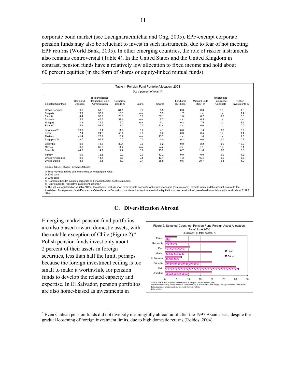corporate bond market (see Luengnaruemitchai and Ong, 2005). EPF-exempt corporate pension funds may also be reluctant to invest in such instruments, due to fear of not meeting EPF returns (World Bank, 2005). In other emerging countries, the role of riskier instruments also remains controversial (Table 4). In the United States and the United Kingdom in contrast, pension funds have a relatively low allocation to fixed income and hold about 60 percent equities (in the form of shares or equity-linked mutual funds).

| <b>Selected Countries</b>                                                                                                                                                                                                     | Cash and<br>Deposits | <b>Bills and Bonds</b><br><b>Issued by Public</b><br>Administration | Corporate<br>Bonds 4/ | Loans | Shares | Land and<br><b>Buildings</b> | <b>Mutual Funds</b><br>$(CIS)$ 5/ | Unallocated<br>Insurance<br>Contracts | Other<br>Investments 6/ |
|-------------------------------------------------------------------------------------------------------------------------------------------------------------------------------------------------------------------------------|----------------------|---------------------------------------------------------------------|-----------------------|-------|--------|------------------------------|-----------------------------------|---------------------------------------|-------------------------|
| Czech Republic                                                                                                                                                                                                                | 9.6                  | 51.9                                                                | 31.1                  | 0.0   | 5.5    | 0.3                          | 0.3                               | n.a.                                  | 1.3                     |
| Bulgaria                                                                                                                                                                                                                      | 19.9                 | 55.2                                                                | 18.6                  | n.a.  | 3.3    | 1.7                          | n.a.                              | n.a.                                  | 1.4                     |
| Estonia                                                                                                                                                                                                                       | 4.4                  | 33.9                                                                | 23.3                  | 0.0   | 35.1   | 1.0                          | 6.2                               | 0.0                                   | 0.8                     |
| Slovenia                                                                                                                                                                                                                      | 13.3                 | 46.3                                                                | 32.4                  | n.a.  | 7.7    | n.a.                         | 0.3                               | n.a.                                  | n.a.                    |
| Hungary                                                                                                                                                                                                                       | 1.3                  | 74.9                                                                | 2.0                   | n.a.  | 5.2    | 0.2                          | 7.5                               | n.a.                                  | 8.9                     |
| Poland                                                                                                                                                                                                                        | 5.8                  | 58.9                                                                | 1.4                   | 0.0   | 33.4   | n.a.                         | 0.0                               | n.a.                                  | 0.5                     |
| Indonesia 2/                                                                                                                                                                                                                  | 70.9                 | 0.1                                                                 | 11.9                  | 0.7   | 4.1    | 6.0                          | 1.3                               | 0.0                                   | 6.9                     |
| Korea                                                                                                                                                                                                                         | 7.4                  | 24.3                                                                | 56.4                  | 9.9   | 0.2    | 0.0                          | 0.5                               | n.a.                                  | 1.4                     |
| Thailand                                                                                                                                                                                                                      | 41.4                 | 23.9                                                                | 18.2                  | n.a.  | 13.7   | n.a.                         | 1.8                               | n.a.                                  | 1.0                     |
| Singapore 2/                                                                                                                                                                                                                  | 2.7                  | 96.4                                                                | 0.0                   | 0.0   | 0.0    | 0.2                          | 0.0                               | 0.0                                   | 0.7                     |
| Colombia                                                                                                                                                                                                                      | 0.8                  | 48.5                                                                | 30.1                  | 0.0   | 6.2    | 0.0                          | 2.2                               | 0.0                                   | 12.2                    |
| Mexico                                                                                                                                                                                                                        | 0.0                  | 85.2                                                                | 11.7                  | n.a.  | n.a.   | n.a.                         | n.a.                              | n.a.                                  | 3.1                     |
| Brazil 1/                                                                                                                                                                                                                     | 44.2                 | 14.9                                                                | 2.2                   | 3.9   | 15.9   | 6.7                          | 11.6                              | 0.0                                   | 0.6                     |
| Turkey                                                                                                                                                                                                                        | 0.0                  | 72.6                                                                | 0.0                   | 0.0   | 13.2   | 0.0                          | 0.0                               | 0.0                                   | 14.2                    |
| United Kingdom 3/                                                                                                                                                                                                             | 2.5                  | 14.7                                                                | 6.8                   | 0.5   | 43.4   | 4.3                          | 15.4                              | 6.0                                   | 6.3                     |
| <b>United States</b>                                                                                                                                                                                                          | 8.3                  | 6.4                                                                 | 5.0                   | 0.1   | 35.5   | 0.6                          | 30.7                              | 9.4                                   | 4.0                     |
| Source: OECD, Global Pension Statistics.<br>1/ Total may not add up due to rounding or to negligible value.<br>2/2002 data.<br>3/2003 data.<br>4/ "Corporate bonds" includes corporate and financial sector debt instruments. |                      |                                                                     |                       |       |        |                              |                                   |                                       |                         |

6/ The values registered on variable "Other Investments" include short term payable accounts to the fund managers (commissions), payable loans and the amount relative to the<br>liquidation of one pension fund (Pessoal da Caix billion.



## **C. Diversification Abroad**

Emerging market pension fund portfolios

the notable exception of Chile (Figure 2). $<sup>6</sup>$ </sup> Polish pension funds invest only about 2 percent of their assets in foreign

securities, less than half the limit, perhaps

small to make it worthwhile for pension funds to develop the related capacity and

are also home-biased as investments in

 $\overline{a}$ 

<sup>6</sup> Even Chilean pension funds did not diversify meaningfully abroad until after the 1997 Asian crisis, despite the gradual loosening of foreign investment limits, due to high domestic returns (Roldos, 2004).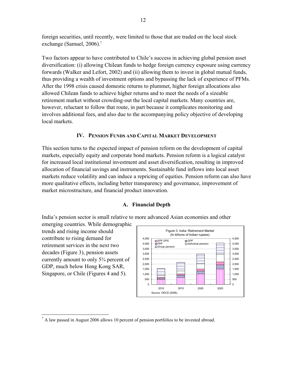foreign securities, until recently, were limited to those that are traded on the local stock exchange (Samuel, 2006).<sup>7</sup>

Two factors appear to have contributed to Chile's success in achieving global pension asset diversification: (i) allowing Chilean funds to hedge foreign currency exposure using currency forwards (Walker and Lefort, 2002) and (ii) allowing them to invest in global mutual funds, thus providing a wealth of investment options and bypassing the lack of experience of PFMs. After the 1998 crisis caused domestic returns to plummet, higher foreign allocations also allowed Chilean funds to achieve higher returns and to meet the needs of a sizeable retirement market without crowding-out the local capital markets. Many countries are, however, reluctant to follow that route, in part because it complicates monitoring and involves additional fees, and also due to the accompanying policy objective of developing local markets.

## **IV. PENSION FUNDS AND CAPITAL MARKET DEVELOPMENT**

This section turns to the expected impact of pension reform on the development of capital markets, especially equity and corporate bond markets. Pension reform is a logical catalyst for increased local institutional investment and asset diversification, resulting in improved allocation of financial savings and instruments. Sustainable fund inflows into local asset markets reduce volatility and can induce a repricing of equities. Pension reform can also have more qualitative effects, including better transparency and governance, improvement of market microstructure, and financial product innovation.

## **A. Financial Depth**

India's pension sector is small relative to more advanced Asian economies and other

emerging countries. While demographic trends and rising income should contribute to rising demand for retirement services in the next two decades (Figure 3), pension assets currently amount to only 5¾ percent of GDP, much below Hong Kong SAR, Singapore, or Chile (Figures 4 and 5).



<sup>&</sup>lt;sup>7</sup> A law passed in August 2006 allows 10 percent of pension portfolios to be invested abroad.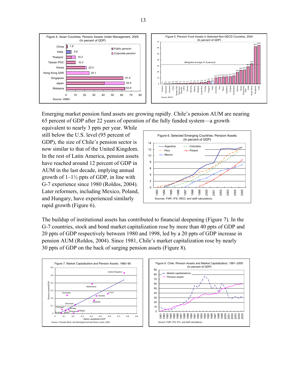

Emerging market pension fund assets are growing rapidly. Chile's pension AUM are nearing 65 percent of GDP after 22 years of operation of the fully funded system—a growth

equivalent to nearly 3 ppts per year. While still below the U.S. level (95 percent of GDP), the size of Chile's pension sector is now similar to that of the United Kingdom. In the rest of Latin America, pension assets have reached around 12 percent of GDP in AUM in the last decade, implying annual growth of  $1-1\frac{1}{2}$  ppts of GDP, in line with G-7 experience since 1980 (Roldos, 2004). Later reformers, including Mexico, Poland, and Hungary, have experienced similarly rapid growth (Figure 6).



The buildup of institutional assets has contributed to financial deepening (Figure 7). In the G-7 countries, stock and bond market capitalization rose by more than 40 ppts of GDP and 20 ppts of GDP respectively between 1980 and 1998, led by a 20 ppts of GDP increase in pension AUM (Roldos, 2004). Since 1981, Chile's market capitalization rose by nearly 30 ppts of GDP on the back of surging pension assets (Figure 8).



13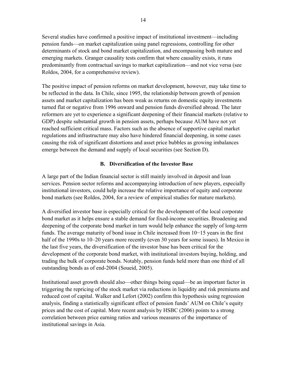Several studies have confirmed a positive impact of institutional investment—including pension funds—on market capitalization using panel regressions, controlling for other determinants of stock and bond market capitalization, and encompassing both mature and emerging markets. Granger causality tests confirm that where causality exists, it runs predominantly from contractual savings to market capitalization—and not vice versa (see Roldos, 2004, for a comprehensive review).

The positive impact of pension reforms on market development, however, may take time to be reflected in the data. In Chile, since 1995, the relationship between growth of pension assets and market capitalization has been weak as returns on domestic equity investments turned flat or negative from 1996 onward and pension funds diversified abroad. The later reformers are yet to experience a significant deepening of their financial markets (relative to GDP) despite substantial growth in pension assets, perhaps because AUM have not yet reached sufficient critical mass. Factors such as the absence of supportive capital market regulations and infrastructure may also have hindered financial deepening, in some cases causing the risk of significant distortions and asset price bubbles as growing imbalances emerge between the demand and supply of local securities (see Section D).

## **B. Diversification of the Investor Base**

A large part of the Indian financial sector is still mainly involved in deposit and loan services. Pension sector reforms and accompanying introduction of new players, especially institutional investors, could help increase the relative importance of equity and corporate bond markets (see Roldos, 2004, for a review of empirical studies for mature markets).

A diversified investor base is especially critical for the development of the local corporate bond market as it helps ensure a stable demand for fixed-income securities. Broadening and deepening of the corporate bond market in turn would help enhance the supply of long-term funds. The average maturity of bond issue in Chile increased from 10−15 years in the first half of the 1990s to 10–20 years more recently (even 30 years for some issues). In Mexico in the last five years, the diversification of the investor base has been critical for the development of the corporate bond market, with institutional investors buying, holding, and trading the bulk of corporate bonds. Notably, pension funds held more than one third of all outstanding bonds as of end-2004 (Soueid, 2005).

Institutional asset growth should also—other things being equal—be an important factor in triggering the repricing of the stock market via reductions in liquidity and risk premiums and reduced cost of capital. Walker and Lefort (2002) confirm this hypothesis using regression analysis, finding a statistically significant effect of pension funds' AUM on Chile's equity prices and the cost of capital. More recent analysis by HSBC (2006) points to a strong correlation between price earning ratios and various measures of the importance of institutional savings in Asia.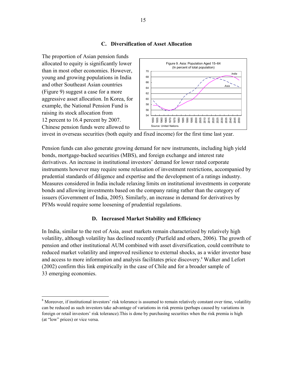#### **C. Diversification of Asset Allocation**



invest in overseas securities (both equity and fixed income) for the first time last year.

Pension funds can also generate growing demand for new instruments, including high yield bonds, mortgage-backed securities (MBS), and foreign exchange and interest rate derivatives. An increase in institutional investors' demand for lower rated corporate instruments however may require some relaxation of investment restrictions, accompanied by prudential standards of diligence and expertise and the development of a ratings industry. Measures considered in India include relaxing limits on institutional investments in corporate bonds and allowing investments based on the company rating rather than the category of issuers (Government of India, 2005). Similarly, an increase in demand for derivatives by PFMs would require some loosening of prudential regulations.

#### **D. Increased Market Stability and Efficiency**

In India, similar to the rest of Asia, asset markets remain characterized by relatively high volatility, although volatility has declined recently (Purfield and others, 2006). The growth of pension and other institutional AUM combined with asset diversification, could contribute to reduced market volatility and improved resilience to external shocks, as a wider investor base and access to more information and analysis facilitates price discovery.<sup>8</sup> Walker and Lefort (2002) confirm this link empirically in the case of Chile and for a broader sample of 33 emerging economies.

<sup>&</sup>lt;sup>8</sup> Moreover, if institutional investors' risk tolerance is assumed to remain relatively constant over time, volatility can be reduced as such investors take advantage of variations in risk premia (perhaps caused by variations in foreign or retail investors' risk tolerance).This is done by purchasing securities when the risk premia is high (at "low" prices) or vice versa.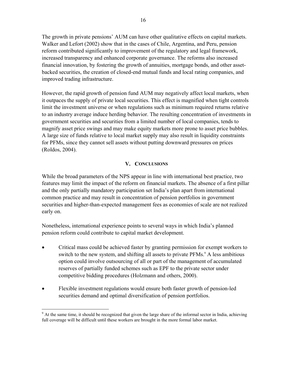The growth in private pensions' AUM can have other qualitative effects on capital markets. Walker and Lefort (2002) show that in the cases of Chile, Argentina, and Peru, pension reform contributed significantly to improvement of the regulatory and legal framework, increased transparency and enhanced corporate governance. The reforms also increased financial innovation, by fostering the growth of annuities, mortgage bonds, and other assetbacked securities, the creation of closed-end mutual funds and local rating companies, and improved trading infrastructure.

However, the rapid growth of pension fund AUM may negatively affect local markets, when it outpaces the supply of private local securities. This effect is magnified when tight controls limit the investment universe or when regulations such as minimum required returns relative to an industry average induce herding behavior. The resulting concentration of investments in government securities and securities from a limited number of local companies, tends to magnify asset price swings and may make equity markets more prone to asset price bubbles. A large size of funds relative to local market supply may also result in liquidity constraints for PFMs, since they cannot sell assets without putting downward pressures on prices (Roldos, 2004).

## **V. CONCLUSIONS**

While the broad parameters of the NPS appear in line with international best practice, two features may limit the impact of the reform on financial markets. The absence of a first pillar and the only partially mandatory participation set India's plan apart from international common practice and may result in concentration of pension portfolios in government securities and higher-than-expected management fees as economies of scale are not realized early on.

Nonetheless, international experience points to several ways in which India's planned pension reform could contribute to capital market development.

- Critical mass could be achieved faster by granting permission for exempt workers to switch to the new system, and shifting all assets to private PFMs.<sup>9</sup> A less ambitious option could involve outsourcing of all or part of the management of accumulated reserves of partially funded schemes such as EPF to the private sector under competitive bidding procedures (Holzmann and others, 2000).
- Flexible investment regulations would ensure both faster growth of pension-led securities demand and optimal diversification of pension portfolios.

 $\overline{a}$ <sup>9</sup> At the same time, it should be recognized that given the large share of the informal sector in India, achieving full coverage will be difficult until these workers are brought in the more formal labor market.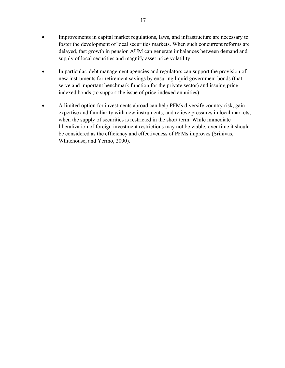- Improvements in capital market regulations, laws, and infrastructure are necessary to foster the development of local securities markets. When such concurrent reforms are delayed, fast growth in pension AUM can generate imbalances between demand and supply of local securities and magnify asset price volatility.
- In particular, debt management agencies and regulators can support the provision of new instruments for retirement savings by ensuring liquid government bonds (that serve and important benchmark function for the private sector) and issuing priceindexed bonds (to support the issue of price-indexed annuities).
- A limited option for investments abroad can help PFMs diversify country risk, gain expertise and familiarity with new instruments, and relieve pressures in local markets, when the supply of securities is restricted in the short term. While immediate liberalization of foreign investment restrictions may not be viable, over time it should be considered as the efficiency and effectiveness of PFMs improves (Srinivas, Whitehouse, and Yermo, 2000).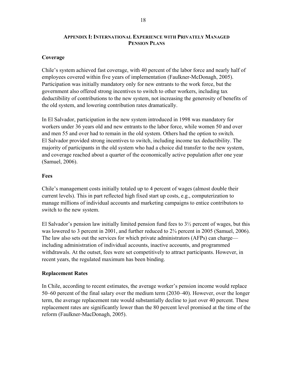## **APPENDIX I: INTERNATIONAL EXPERIENCE WITH PRIVATELY MANAGED PENSION PLANS**

## **Coverage**

Chile's system achieved fast coverage, with 40 percent of the labor force and nearly half of employees covered within five years of implementation (Faulkner-McDonagh, 2005). Participation was initially mandatory only for new entrants to the work force, but the government also offered strong incentives to switch to other workers, including tax deductibility of contributions to the new system, not increasing the generosity of benefits of the old system, and lowering contribution rates dramatically.

In El Salvador, participation in the new system introduced in 1998 was mandatory for workers under 36 years old and new entrants to the labor force, while women 50 and over and men 55 and over had to remain in the old system. Others had the option to switch. El Salvador provided strong incentives to switch, including income tax deductibility. The majority of participants in the old system who had a choice did transfer to the new system, and coverage reached about a quarter of the economically active population after one year (Samuel, 2006).

## **Fees**

Chile's management costs initially totaled up to 4 percent of wages (almost double their current levels). This in part reflected high fixed start up costs, e.g., computerization to manage millions of individual accounts and marketing campaigns to entice contributors to switch to the new system.

El Salvador's pension law initially limited pension fund fees to  $3\frac{1}{2}$  percent of wages, but this was lowered to 3 percent in 2001, and further reduced to  $2\frac{3}{4}$  percent in 2005 (Samuel, 2006). The law also sets out the services for which private administrators (AFPs) can charge including administration of individual accounts, inactive accounts, and programmed withdrawals. At the outset, fees were set competitively to attract participants. However, in recent years, the regulated maximum has been binding.

## **Replacement Rates**

In Chile, according to recent estimates, the average worker's pension income would replace 50–60 percent of the final salary over the medium term (2030–40). However, over the longer term, the average replacement rate would substantially decline to just over 40 percent. These replacement rates are significantly lower than the 80 percent level promised at the time of the reform (Faulkner-MacDonagh, 2005).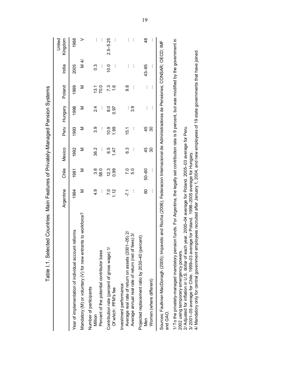| .<br>.<br>.<br>$\overline{\phantom{a}}$                                                                                                               |
|-------------------------------------------------------------------------------------------------------------------------------------------------------|
| $\frac{2}{5}$<br>-<br>-<br>-<br>-<br>7<br>ı                                                                                                           |
| $\frac{1}{2}$                                                                                                                                         |
| Municterist of the                                                                                                                                    |
| <b>ニー I ハ ハハ ハハ ハハ ハ  </b>  <br>יצוּ<br>יוויינים<br>י                                                                                                 |
| ĺ<br>l                                                                                                                                                |
|                                                                                                                                                       |
| $\frac{1}{1}$                                                                                                                                         |
| $\vdots$<br>$\frac{1}{2}$<br>٦ahl<br>֖֦֖֦֦֦֦֖֖֖֖֖ׅ֖ׅ֖ׅ֧ׅ֧ׅ֧ׅׅ֖ׅ֧ׅ֧ׅ֧ׅ֧ׅ֧ׅ֧ׅ֧ׅ֧ׅׅ֖ׅ֧֚֚֚֚֚֚֚֚֚֚֚֚֚֚֚֚֚֚֚֚֚֚֚֚֚֚֚֚֚֚֚֚֚֚֚֡֝֝֝֝֝֝֝֝֞<br>֧ׅ֖֖֖֖֖֖֚֚֚֚֚֚֚֜֜ |

|                                                                                                                                            | Argentina        | Chile      | Mexico   |          | Peru Hungary | Poland        | India          | United<br>Kingdom |
|--------------------------------------------------------------------------------------------------------------------------------------------|------------------|------------|----------|----------|--------------|---------------|----------------|-------------------|
| Year of implementation of individual account reforms                                                                                       | 1994             | 1981       | 1992     | 1993     | 1998         | 1999          | 2005           | 1988              |
| Mandatory (M) or voluntary (V) for new entrants to workforce?                                                                              | ⋝                | Σ          | Σ        | Σ        | Σ            | Σ             | $\overline{4}$ |                   |
| Number of participants<br>Million                                                                                                          | 4.9              | 3.8        | 36.2     | თ<br>თ   | 24           | 13.1          | ი<br>0.3       |                   |
| Percent of the potential contributor base                                                                                                  | ļ                | 58.0       | $\vdots$ | $\vdots$ | $\vdots$     | 70.0          | İ              | ł<br>$\vdots$     |
| Contribution rate (percent of gross wage) 1/                                                                                               | $\overline{7.0}$ | 12.3       | 6.5      | 0.9      | <u>ය</u>     | 73            | 0.01           | $2.5 - 5.25$      |
| Of which: PFM's fee                                                                                                                        | 112              | 0.99       | 147      | 1.99     | 0.97         | $\frac{6}{1}$ | i              | $\vdots$          |
| Investment performance                                                                                                                     |                  |            |          |          |              |               |                |                   |
| Average real rate of return on assets (2001-05) 2/                                                                                         | -71              | 7.0<br>5.0 | ვ<br>ბ   | 15.1     | i            | စ<br>၁        | $\vdots$       | $\vdots$          |
| Average annual real rate of return (net of fees) 3/                                                                                        | j                |            | $\vdots$ | $\vdots$ | თ.<br>თ      | $\vdots$      | i              | $\vdots$          |
| Projected replacement ratio by 2030-40 (percent)                                                                                           |                  |            |          |          |              |               |                |                   |
| Men                                                                                                                                        | 8                | 50-60      | 45       | 45       | ł            | Ì             | $43 - 95$      | $\frac{8}{4}$     |
| Women (where different)                                                                                                                    | İ                | İ          | 30       | 30       | İ            | $\vdots$      | $\vdots$       | $\vdots$          |
| Sources: Faulkner-MacDonagh (2005); Impavido and Rocha (2006); Federacion Internacional de Administradoras de Pensiones; CONSAR: OECD: IMF |                  |            |          |          |              |               |                |                   |

and GAO. and GAO.

1/ To the privately-managed mandatory pension funds. For Argentina, the legally set contribution rate is 9 percent, but was modified by the government in 1/ To the privately-managed mandatory pension funds. For Argentina, the legally set contribution rate is 9 percent, but was modified by the government in 2002 using temporary emergency powers.

2/ Adjusted for inflation in U.S. dollar of each year. 2000 **–**04 average for Poland. 2005–03 average for Peru.

3/ 2001–05 average for Chile. 1999 **–**03 average for Poland. 1998–2005 average for Hungary.

2002 using temporary emergency powers.<br>2/ Adjusted for inflation in U.S. dollar of each year. 2000–04 average for Poland. 2005–03 average for Peru.<br>3/ 2001–05 average for Chile. 1999–03 average for Poland. 1998–2005 averag 4/ Mandatory only for central government employees recruited after January 1, 2004, and new employees of 19 state governments that have joined.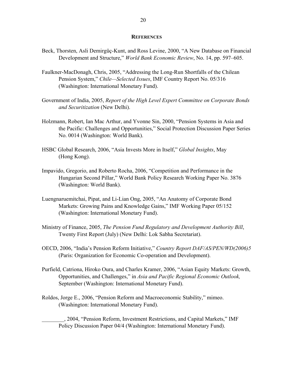#### **REFERENCES**

- Beck, Thorsten, Asli Demirgüç-Kunt, and Ross Levine, 2000, "A New Database on Financial Development and Structure," *World Bank Economic Review*, No. 14, pp. 597–605.
- Faulkner-MacDonagh, Chris, 2005, "Addressing the Long-Run Shortfalls of the Chilean Pension System," *Chile—Selected Issues*, IMF Country Report No. 05/316 (Washington: International Monetary Fund).
- Government of India, 2005, *Report of the High Level Expert Committee on Corporate Bonds and Securitization* (New Delhi).
- Holzmann, Robert, Ian Mac Arthur, and Yvonne Sin, 2000, "Pension Systems in Asia and the Pacific: Challenges and Opportunities," Social Protection Discussion Paper Series No. 0014 (Washington: World Bank).
- HSBC Global Research, 2006, "Asia Invests More in Itself," *Global Insights*, May (Hong Kong).
- Impavido, Gregorio, and Roberto Rocha, 2006, "Competition and Performance in the Hungarian Second Pillar," World Bank Policy Research Working Paper No. 3876 (Washington: World Bank).
- Luengnaruemitchai, Pipat, and Li-Lian Ong, 2005, "An Anatomy of Corporate Bond Markets: Growing Pains and Knowledge Gains," IMF Working Paper 05/152 (Washington: International Monetary Fund).
- Ministry of Finance, 2005, *The Pension Fund Regulatory and Development Authority Bill*, Twenty First Report (July) (New Delhi: Lok Sabha Secretariat).
- OECD, 2006, "India's Pension Reform Initiative," *Country Report DAF/AS/PEN/WD(2006)5* (Paris: Organization for Economic Co-operation and Development).
- Purfield, Catriona, Hiroko Oura, and Charles Kramer, 2006, "Asian Equity Markets: Growth, Opportunities, and Challenges," in *Asia and Pacific Regional Economic Outlook,*  September (Washington: International Monetary Fund).
- Roldos, Jorge E., 2006, "Pension Reform and Macroeconomic Stability," mimeo. (Washington: International Monetary Fund).

\_\_\_\_\_\_\_\_, 2004, "Pension Reform, Investment Restrictions, and Capital Markets," IMF Policy Discussion Paper 04/4 (Washington: International Monetary Fund).